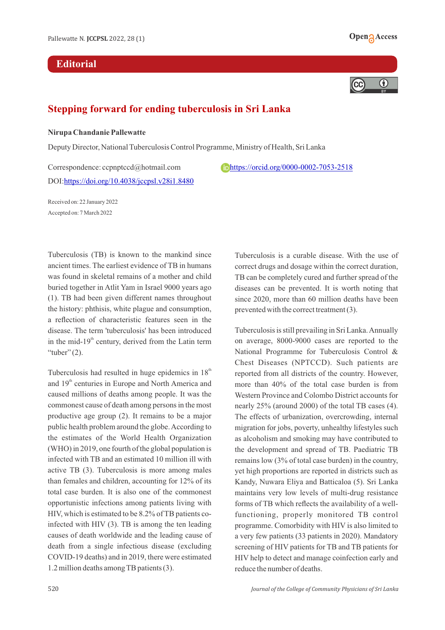## **Editorial**





## **Stepping forward for ending tuberculosis in Sri Lanka**

## **Nirupa Chandanie Pallewatte**

Deputy Director, National Tuberculosis Control Programme, Ministry of Health, Sri Lanka

Correspondence: ccpnptccd@hotmail.com <https://orcid.org/0000-0002-7053-2518> DOI[:https://doi.org/10.4038/jccpsl.v28i1.8480](https://doi.org/10.4038/jccpsl.v28i1.8480)

Received on: 22 January 2022 Accepted on: 7 March 2022

Tuberculosis (TB) is known to the mankind since ancient times. The earliest evidence of TB in humans was found in skeletal remains of a mother and child buried together in Atlit Yam in Israel 9000 years ago (1). TB had been given different names throughout the history: phthisis, white plague and consumption, a reflection of characteristic features seen in the disease. The term 'tuberculosis' has been introduced in the mid- $19<sup>th</sup>$  century, derived from the Latin term "tuber" $(2)$ .

Tuberculosis had resulted in huge epidemics in  $18<sup>th</sup>$ and  $19<sup>th</sup>$  centuries in Europe and North America and caused millions of deaths among people. It was the commonest cause of death among persons in the most productive age group (2). It remains to be a major public health problem around the globe. According to the estimates of the World Health Organization (WHO) in 2019, one fourth of the global population is infected with TB and an estimated 10 million ill with active TB (3). Tuberculosis is more among males than females and children, accounting for 12% of its total case burden. It is also one of the commonest opportunistic infections among patients living with HIV, which is estimated to be 8.2% of TB patients coinfected with HIV (3). TB is among the ten leading causes of death worldwide and the leading cause of death from a single infectious disease (excluding COVID-19 deaths) and in 2019, there were estimated 1.2 million deaths among TB patients (3).

Tuberculosis is a curable disease. With the use of correct drugs and dosage within the correct duration, TB can be completely cured and further spread of the diseases can be prevented. It is worth noting that since 2020, more than 60 million deaths have been prevented with the correct treatment (3).

Tuberculosis is still prevailing in Sri Lanka. Annually on average, 8000-9000 cases are reported to the National Programme for Tuberculosis Control & Chest Diseases (NPTCCD). Such patients are reported from all districts of the country. However, more than 40% of the total case burden is from Western Province and Colombo District accounts for nearly 25% (around 2000) of the total TB cases (4). The effects of urbanization, overcrowding, internal migration for jobs, poverty, unhealthy lifestyles such as alcoholism and smoking may have contributed to the development and spread of TB. Paediatric TB remains low (3% of total case burden) in the country, yet high proportions are reported in districts such as Kandy, Nuwara Eliya and Batticaloa (5). Sri Lanka maintains very low levels of multi-drug resistance forms of TB which reflects the availability of a wellfunctioning, properly monitored TB control programme. Comorbidity with HIV is also limited to a very few patients (33 patients in 2020). Mandatory screening of HIV patients for TB and TB patients for HIV help to detect and manage coinfection early and reduce the number of deaths.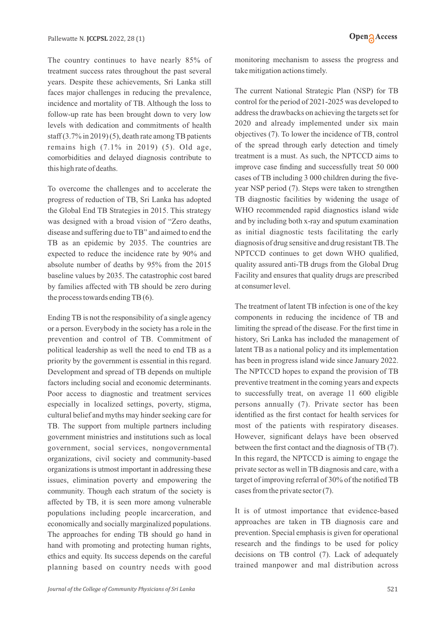The country continues to have nearly 85% of treatment success rates throughout the past several years. Despite these achievements, Sri Lanka still faces major challenges in reducing the prevalence, incidence and mortality of TB. Although the loss to follow-up rate has been brought down to very low levels with dedication and commitments of health staff (3.7% in 2019) (5), death rate among TB patients remains high (7.1% in 2019) (5). Old age, comorbidities and delayed diagnosis contribute to this high rate of deaths.

To overcome the challenges and to accelerate the progress of reduction of TB, Sri Lanka has adopted the Global End TB Strategies in 2015. This strategy was designed with a broad vision of "Zero deaths, disease and suffering due to TB" and aimed to end the TB as an epidemic by 2035. The countries are expected to reduce the incidence rate by 90% and absolute number of deaths by 95% from the 2015 baseline values by 2035. The catastrophic cost bared by families affected with TB should be zero during the process towards ending TB (6).

Ending TB is not the responsibility of a single agency or a person. Everybody in the society has a role in the prevention and control of TB. Commitment of political leadership as well the need to end TB as a priority by the government is essential in this regard. Development and spread of TB depends on multiple factors including social and economic determinants. Poor access to diagnostic and treatment services especially in localized settings, poverty, stigma, cultural belief and myths may hinder seeking care for TB. The support from multiple partners including government ministries and institutions such as local government, social services, nongovernmental organizations, civil society and community-based organizations is utmost important in addressing these issues, elimination poverty and empowering the community. Though each stratum of the society is affected by TB, it is seen more among vulnerable populations including people incarceration, and economically and socially marginalized populations. The approaches for ending TB should go hand in hand with promoting and protecting human rights, ethics and equity. Its success depends on the careful planning based on country needs with good monitoring mechanism to assess the progress and take mitigation actions timely.

The current National Strategic Plan (NSP) for TB control for the period of 2021-2025 was developed to address the drawbacks on achieving the targets set for 2020 and already implemented under six main objectives (7). To lower the incidence of TB, control of the spread through early detection and timely treatment is a must. As such, the NPTCCD aims to improve case finding and successfully treat 50 000 cases of TB including 3 000 children during the fiveyear NSP period (7). Steps were taken to strengthen TB diagnostic facilities by widening the usage of WHO recommended rapid diagnostics island wide and by including both x-ray and sputum examination as initial diagnostic tests facilitating the early diagnosis of drug sensitive and drug resistant TB. The NPTCCD continues to get down WHO qualified, quality assured anti-TB drugs from the Global Drug Facility and ensures that quality drugs are prescribed at consumer level.

The treatment of latent TB infection is one of the key components in reducing the incidence of TB and limiting the spread of the disease. For the first time in history, Sri Lanka has included the management of latent TB as a national policy and its implementation has been in progress island wide since January 2022. The NPTCCD hopes to expand the provision of TB preventive treatment in the coming years and expects to successfully treat, on average 11 600 eligible persons annually (7). Private sector has been identified as the first contact for health services for most of the patients with respiratory diseases. However, significant delays have been observed between the first contact and the diagnosis of TB (7). In this regard, the NPTCCD is aiming to engage the private sector as well in TB diagnosis and care, with a target of improving referral of 30% of the notified TB cases from the private sector (7).

It is of utmost importance that evidence-based approaches are taken in TB diagnosis care and prevention. Special emphasis is given for operational research and the findings to be used for policy decisions on TB control (7). Lack of adequately trained manpower and mal distribution across